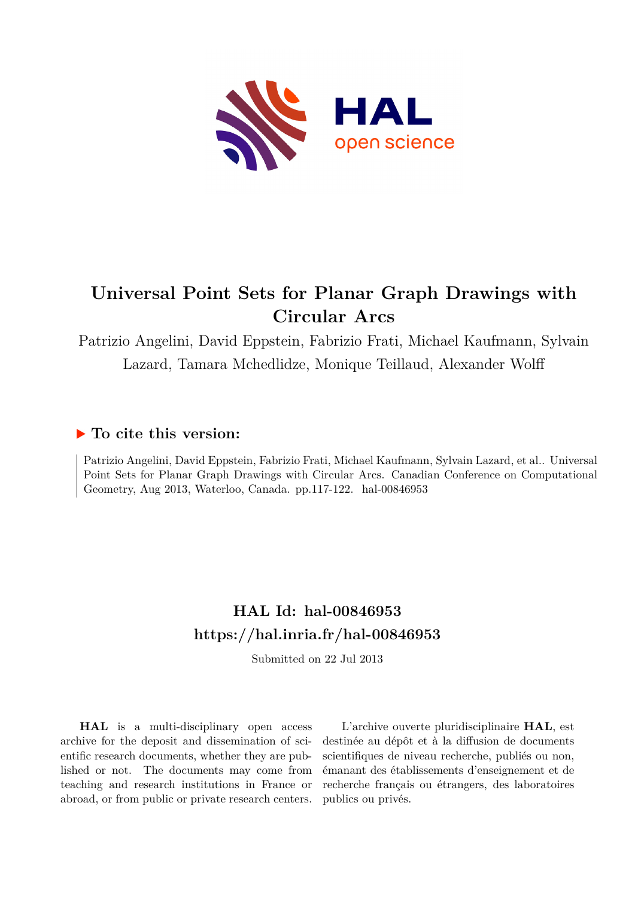

# **Universal Point Sets for Planar Graph Drawings with Circular Arcs**

Patrizio Angelini, David Eppstein, Fabrizio Frati, Michael Kaufmann, Sylvain Lazard, Tamara Mchedlidze, Monique Teillaud, Alexander Wolff

## **To cite this version:**

Patrizio Angelini, David Eppstein, Fabrizio Frati, Michael Kaufmann, Sylvain Lazard, et al.. Universal Point Sets for Planar Graph Drawings with Circular Arcs. Canadian Conference on Computational Geometry, Aug 2013, Waterloo, Canada. pp.117-122. hal-00846953

# **HAL Id: hal-00846953 <https://hal.inria.fr/hal-00846953>**

Submitted on 22 Jul 2013

**HAL** is a multi-disciplinary open access archive for the deposit and dissemination of scientific research documents, whether they are published or not. The documents may come from teaching and research institutions in France or abroad, or from public or private research centers.

L'archive ouverte pluridisciplinaire **HAL**, est destinée au dépôt et à la diffusion de documents scientifiques de niveau recherche, publiés ou non, émanant des établissements d'enseignement et de recherche français ou étrangers, des laboratoires publics ou privés.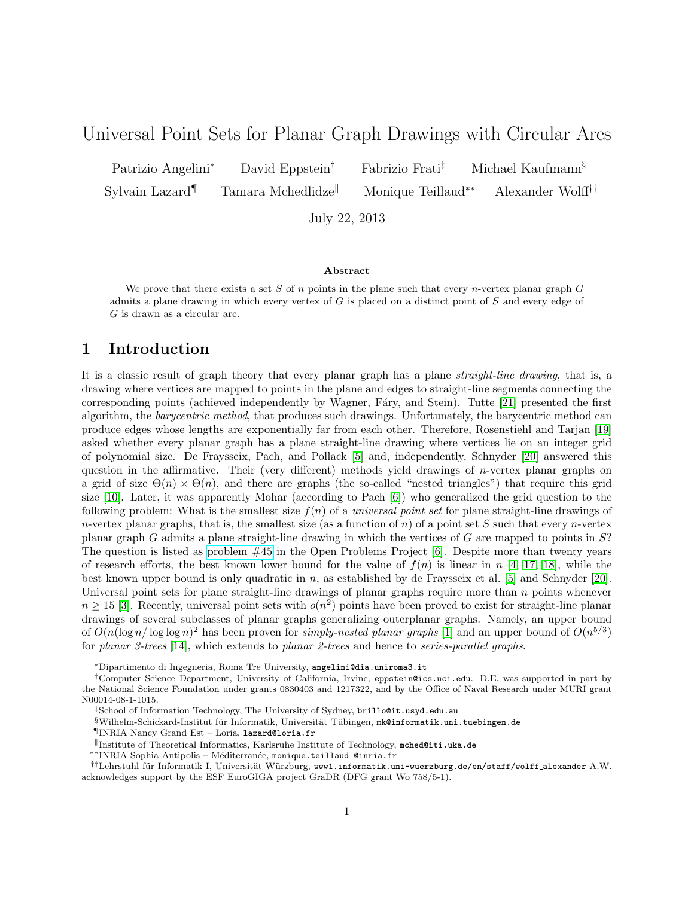### Universal Point Sets for Planar Graph Drawings with Circular Arcs

Patrizio Angelini<sup>∗</sup> David Eppstein† Fabrizio Frati‡ Michael Kaufmann§ Sylvain Lazard¶ Tamara Mchedlidze<sup>||</sup> Monique Teillaud<sup>∗∗</sup> Alexander Wolff<sup>††</sup>

July 22, 2013

#### Abstract

We prove that there exists a set S of n points in the plane such that every n-vertex planar graph  $G$ admits a plane drawing in which every vertex of G is placed on a distinct point of S and every edge of G is drawn as a circular arc.

### 1 Introduction

It is a classic result of graph theory that every planar graph has a plane straight-line drawing, that is, a drawing where vertices are mapped to points in the plane and edges to straight-line segments connecting the corresponding points (achieved independently by Wagner, Fáry, and Stein). Tutte [21] presented the first algorithm, the barycentric method, that produces such drawings. Unfortunately, the barycentric method can produce edges whose lengths are exponentially far from each other. Therefore, Rosenstiehl and Tarjan [19] asked whether every planar graph has a plane straight-line drawing where vertices lie on an integer grid of polynomial size. De Fraysseix, Pach, and Pollack [5] and, independently, Schnyder [20] answered this question in the affirmative. Their (very different) methods yield drawings of n-vertex planar graphs on a grid of size  $\Theta(n) \times \Theta(n)$ , and there are graphs (the so-called "nested triangles") that require this grid size [10]. Later, it was apparently Mohar (according to Pach [6]) who generalized the grid question to the following problem: What is the smallest size  $f(n)$  of a *universal point set* for plane straight-line drawings of n-vertex planar graphs, that is, the smallest size (as a function of n) of a point set S such that every n-vertex planar graph G admits a plane straight-line drawing in which the vertices of G are mapped to points in  $S$ ? The question is listed as [problem #45](http://cs.smith.edu/~orourke/TOPP/P45.html#Problem.45) in the Open Problems Project [6]. Despite more than twenty years of research efforts, the best known lower bound for the value of  $f(n)$  is linear in n [4, 17, 18], while the best known upper bound is only quadratic in n, as established by de Fraysseix et al. [5] and Schnyder  $[20]$ . Universal point sets for plane straight-line drawings of planar graphs require more than  $n$  points whenever  $n \geq 15$  [3]. Recently, universal point sets with  $o(n^2)$  points have been proved to exist for straight-line planar drawings of several subclasses of planar graphs generalizing outerplanar graphs. Namely, an upper bound of  $O(n(\log n/\log\log n)^2$  has been proven for *simply-nested planar graphs* [1] and an upper bound of  $O(n^{5/3})$ for planar 3-trees [14], which extends to planar 2-trees and hence to series-parallel graphs.

<sup>∗</sup>Dipartimento di Ingegneria, Roma Tre University, angelini@dia.uniroma3.it

<sup>†</sup>Computer Science Department, University of California, Irvine, eppstein@ics.uci.edu. D.E. was supported in part by the National Science Foundation under grants 0830403 and 1217322, and by the Office of Naval Research under MURI grant N00014-08-1-1015.

<sup>‡</sup>School of Information Technology, The University of Sydney, brillo@it.usyd.edu.au

 $\S$  Wilhelm-Schickard-Institut für Informatik, Universität Tübingen, mk@informatik.uni.tuebingen.de

<sup>¶</sup>INRIA Nancy Grand Est – Loria, lazard@loria.fr

<sup>k</sup>Institute of Theoretical Informatics, Karlsruhe Institute of Technology, mched@iti.uka.de

<sup>∗∗</sup>INRIA Sophia Antipolis – M´editerran´ee, monique.teillaud @inria.fr

<sup>††</sup>Lehrstuhl für Informatik I, Universität Würzburg, www1.informatik.uni-wuerzburg.de/en/staff/wolff alexander A.W. acknowledges support by the ESF EuroGIGA project GraDR (DFG grant Wo 758/5-1).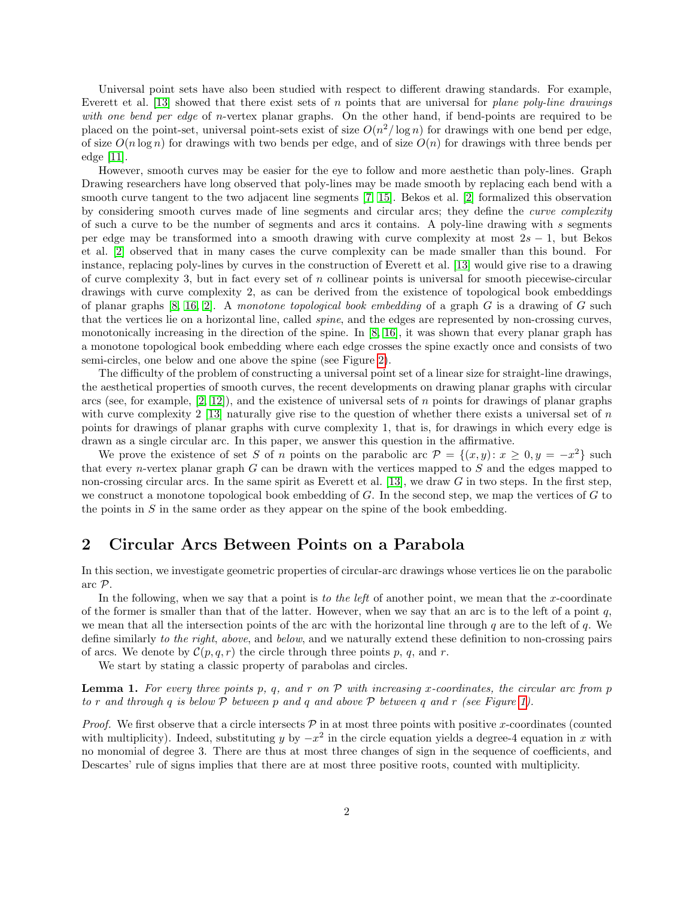Universal point sets have also been studied with respect to different drawing standards. For example, Everett et al. [13] showed that there exist sets of n points that are universal for plane poly-line drawings with one bend per edge of n-vertex planar graphs. On the other hand, if bend-points are required to be placed on the point-set, universal point-sets exist of size  $O(n^2/\log n)$  for drawings with one bend per edge, of size  $O(n \log n)$  for drawings with two bends per edge, and of size  $O(n)$  for drawings with three bends per edge [11].

However, smooth curves may be easier for the eye to follow and more aesthetic than poly-lines. Graph Drawing researchers have long observed that poly-lines may be made smooth by replacing each bend with a smooth curve tangent to the two adjacent line segments [7, 15]. Bekos et al. [2] formalized this observation by considering smooth curves made of line segments and circular arcs; they define the *curve complexity* of such a curve to be the number of segments and arcs it contains. A poly-line drawing with s segments per edge may be transformed into a smooth drawing with curve complexity at most  $2s - 1$ , but Bekos et al. [2] observed that in many cases the curve complexity can be made smaller than this bound. For instance, replacing poly-lines by curves in the construction of Everett et al. [13] would give rise to a drawing of curve complexity 3, but in fact every set of  $n$  collinear points is universal for smooth piecewise-circular drawings with curve complexity 2, as can be derived from the existence of topological book embeddings of planar graphs  $[8, 16, 2]$ . A monotone topological book embedding of a graph G is a drawing of G such that the vertices lie on a horizontal line, called spine, and the edges are represented by non-crossing curves, monotonically increasing in the direction of the spine. In [8, 16], it was shown that every planar graph has a monotone topological book embedding where each edge crosses the spine exactly once and consists of two semi-circles, one below and one above the spine (see Figure 2).

The difficulty of the problem of constructing a universal point set of a linear size for straight-line drawings, the aesthetical properties of smooth curves, the recent developments on drawing planar graphs with circular arcs (see, for example,  $[2, 12]$ ), and the existence of universal sets of n points for drawings of planar graphs with curve complexity 2 [13] naturally give rise to the question of whether there exists a universal set of  $n$ points for drawings of planar graphs with curve complexity 1, that is, for drawings in which every edge is drawn as a single circular arc. In this paper, we answer this question in the affirmative.

We prove the existence of set S of n points on the parabolic arc  $\mathcal{P} = \{(x, y): x \geq 0, y = -x^2\}$  such that every *n*-vertex planar graph  $G$  can be drawn with the vertices mapped to  $S$  and the edges mapped to non-crossing circular arcs. In the same spirit as Everett et al. [13], we draw  $G$  in two steps. In the first step, we construct a monotone topological book embedding of  $G$ . In the second step, we map the vertices of  $G$  to the points in  $S$  in the same order as they appear on the spine of the book embedding.

#### 2 Circular Arcs Between Points on a Parabola

In this section, we investigate geometric properties of circular-arc drawings whose vertices lie on the parabolic arc P.

In the following, when we say that a point is to the left of another point, we mean that the x-coordinate of the former is smaller than that of the latter. However, when we say that an arc is to the left of a point  $q$ , we mean that all the intersection points of the arc with the horizontal line through q are to the left of q. We define similarly to the right, above, and below, and we naturally extend these definition to non-crossing pairs of arcs. We denote by  $\mathcal{C}(p,q,r)$  the circle through three points p, q, and r.

We start by stating a classic property of parabolas and circles.

**Lemma 1.** For every three points p, q, and r on  $\mathcal P$  with increasing x-coordinates, the circular arc from p to r and through q is below  $P$  between p and q and above  $P$  between q and r (see Figure 1).

*Proof.* We first observe that a circle intersects  $P$  in at most three points with positive x-coordinates (counted with multiplicity). Indeed, substituting y by  $-x^2$  in the circle equation yields a degree-4 equation in x with no monomial of degree 3. There are thus at most three changes of sign in the sequence of coefficients, and Descartes' rule of signs implies that there are at most three positive roots, counted with multiplicity.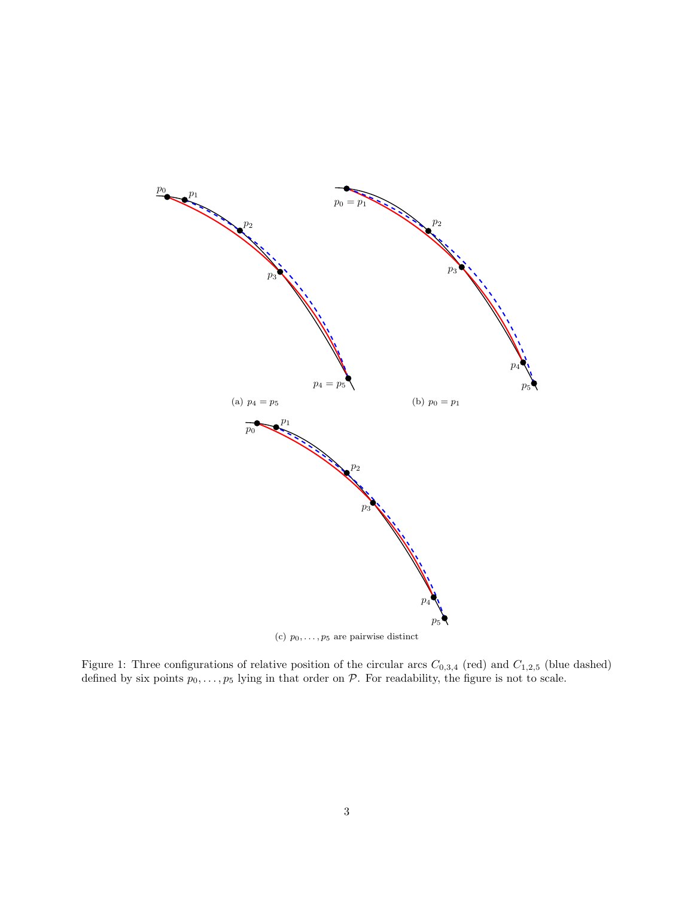

(c)  $p_0, \ldots, p_5$  are pairwise distinct

Figure 1: Three configurations of relative position of the circular arcs  $C_{0,3,4}$  (red) and  $C_{1,2,5}$  (blue dashed) defined by six points  $p_0, \ldots, p_5$  lying in that order on  $P$ . For readability, the figure is not to scale.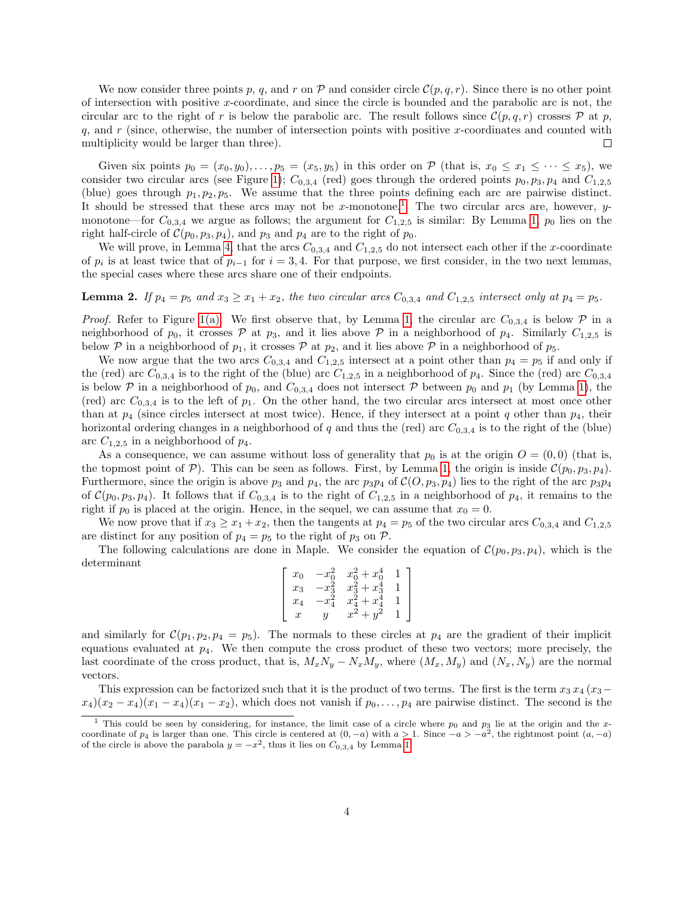We now consider three points p, q, and r on  $\mathcal P$  and consider circle  $\mathcal C(p, q, r)$ . Since there is no other point of intersection with positive x-coordinate, and since the circle is bounded and the parabolic arc is not, the circular arc to the right of r is below the parabolic arc. The result follows since  $\mathcal{C}(p,q,r)$  crosses  $\mathcal{P}$  at p, q, and  $r$  (since, otherwise, the number of intersection points with positive x-coordinates and counted with multiplicity would be larger than three). П

Given six points  $p_0 = (x_0, y_0), \ldots, p_5 = (x_5, y_5)$  in this order on  $P$  (that is,  $x_0 \le x_1 \le \cdots \le x_5$ ), we consider two circular arcs (see Figure 1);  $C_{0,3,4}$  (red) goes through the ordered points  $p_0, p_3, p_4$  and  $C_{1,2,5}$ (blue) goes through  $p_1, p_2, p_5$ . We assume that the three points defining each arc are pairwise distinct. It should be stressed that these arcs may not be x-monotone.<sup>1</sup> The two circular arcs are, however, ymonotone—for  $C_{0,3,4}$  we argue as follows; the argument for  $C_{1,2,5}$  is similar: By Lemma 1,  $p_0$  lies on the right half-circle of  $C(p_0, p_3, p_4)$ , and  $p_3$  and  $p_4$  are to the right of  $p_0$ .

We will prove, in Lemma 4, that the arcs  $C_{0,3,4}$  and  $C_{1,2,5}$  do not intersect each other if the x-coordinate of  $p_i$  is at least twice that of  $p_{i-1}$  for  $i=3,4$ . For that purpose, we first consider, in the two next lemmas, the special cases where these arcs share one of their endpoints.

#### **Lemma 2.** If  $p_4 = p_5$  and  $x_3 \ge x_1 + x_2$ , the two circular arcs  $C_{0,3,4}$  and  $C_{1,2,5}$  intersect only at  $p_4 = p_5$ .

*Proof.* Refer to Figure 1(a). We first observe that, by Lemma 1, the circular arc  $C_{0,3,4}$  is below  $\mathcal P$  in a neighborhood of  $p_0$ , it crosses P at  $p_3$ , and it lies above P in a neighborhood of  $p_4$ . Similarly  $C_{1,2,5}$  is below P in a neighborhood of  $p_1$ , it crosses P at  $p_2$ , and it lies above P in a neighborhood of  $p_5$ .

We now argue that the two arcs  $C_{0,3,4}$  and  $C_{1,2,5}$  intersect at a point other than  $p_4 = p_5$  if and only if the (red) arc  $C_{0,3,4}$  is to the right of the (blue) arc  $C_{1,2,5}$  in a neighborhood of  $p_4$ . Since the (red) arc  $C_{0,3,4}$ is below P in a neighborhood of  $p_0$ , and  $C_{0,3,4}$  does not intersect P between  $p_0$  and  $p_1$  (by Lemma 1), the (red) arc  $C_{0,3,4}$  is to the left of  $p_1$ . On the other hand, the two circular arcs intersect at most once other than at  $p_4$  (since circles intersect at most twice). Hence, if they intersect at a point q other than  $p_4$ , their horizontal ordering changes in a neighborhood of q and thus the (red) arc  $C_{0,3,4}$  is to the right of the (blue) arc  $C_{1,2,5}$  in a neighborhood of  $p_4$ .

As a consequence, we can assume without loss of generality that  $p_0$  is at the origin  $O = (0, 0)$  (that is, the topmost point of P). This can be seen as follows. First, by Lemma 1, the origin is inside  $\mathcal{C}(p_0, p_3, p_4)$ . Furthermore, since the origin is above  $p_3$  and  $p_4$ , the arc  $p_3p_4$  of  $\mathcal{C}(O, p_3, p_4)$  lies to the right of the arc  $p_3p_4$ of  $C(p_0, p_3, p_4)$ . It follows that if  $C_{0,3,4}$  is to the right of  $C_{1,2,5}$  in a neighborhood of  $p_4$ , it remains to the right if  $p_0$  is placed at the origin. Hence, in the sequel, we can assume that  $x_0 = 0$ .

We now prove that if  $x_3 \ge x_1 + x_2$ , then the tangents at  $p_4 = p_5$  of the two circular arcs  $C_{0,3,4}$  and  $C_{1,2,5}$ are distinct for any position of  $p_4 = p_5$  to the right of  $p_3$  on  $P$ .

The following calculations are done in Maple. We consider the equation of  $\mathcal{C}(p_0, p_3, p_4)$ , which is the determinant

| $x_0$ | J.     | $x_0^2 + x_0^*$  |  |
|-------|--------|------------------|--|
| $x_3$ | ى:     | $x_3^2 + x_3^4$  |  |
| $x_4$ | $-x_A$ | $x_4^2 + x_4^*$  |  |
|       |        | $x^{\mathbb{Z}}$ |  |

and similarly for  $\mathcal{C}(p_1, p_2, p_4 = p_5)$ . The normals to these circles at  $p_4$  are the gradient of their implicit equations evaluated at  $p_4$ . We then compute the cross product of these two vectors; more precisely, the last coordinate of the cross product, that is,  $M_xN_y - N_xM_y$ , where  $(M_x, M_y)$  and  $(N_x, N_y)$  are the normal vectors.

This expression can be factorized such that it is the product of two terms. The first is the term  $x_3 x_4 (x_3-\dots)$  $x_4(x_2-x_4)(x_1-x_4)(x_1-x_2)$ , which does not vanish if  $p_0, \ldots, p_4$  are pairwise distinct. The second is the

<sup>&</sup>lt;sup>1</sup> This could be seen by considering, for instance, the limit case of a circle where  $p_0$  and  $p_3$  lie at the origin and the xcoordinate of  $p_4$  is larger than one. This circle is centered at  $(0, -a)$  with  $a > 1$ . Since  $-a > -a^2$ , the rightmost point  $(a, -a)$ of the circle is above the parabola  $y = -x^2$ , thus it lies on  $C_{0,3,4}$  by Lemma 1.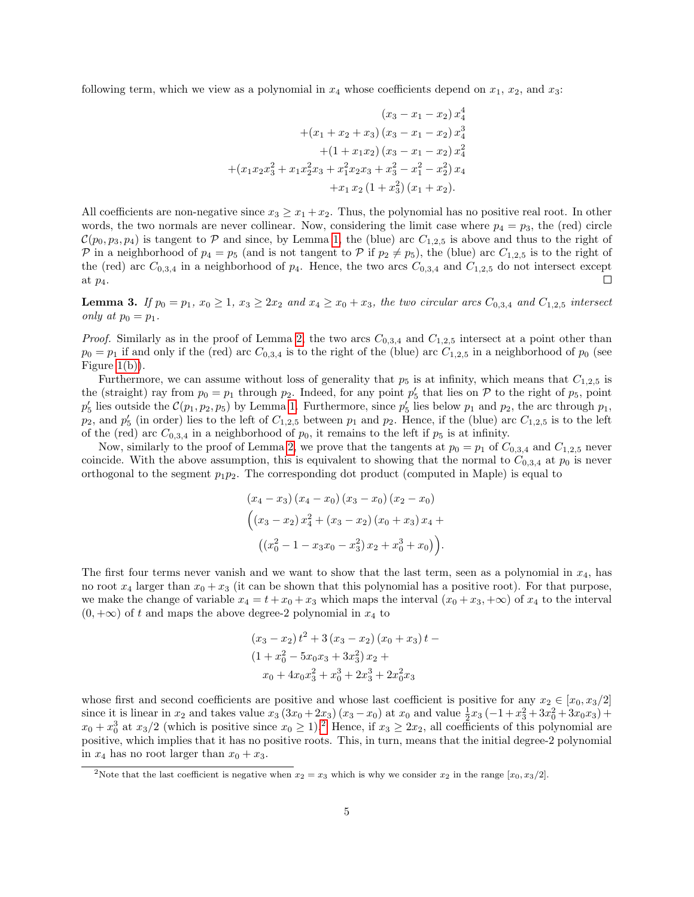following term, which we view as a polynomial in  $x_4$  whose coefficients depend on  $x_1, x_2$ , and  $x_3$ :

$$
(x_3 - x_1 - x_2) x_4^4
$$
  
+
$$
(x_1 + x_2 + x_3) (x_3 - x_1 - x_2) x_4^3
$$
  
+
$$
(1 + x_1 x_2) (x_3 - x_1 - x_2) x_4^2
$$
  
+
$$
(x_1 x_2 x_3^2 + x_1 x_2^2 x_3 + x_1^2 x_2 x_3 + x_3^2 - x_1^2 - x_2^2) x_4
$$
  
+
$$
x_1 x_2 (1 + x_3^2) (x_1 + x_2).
$$

All coefficients are non-negative since  $x_3 \ge x_1 + x_2$ . Thus, the polynomial has no positive real root. In other words, the two normals are never collinear. Now, considering the limit case where  $p_4 = p_3$ , the (red) circle  $\mathcal{C}(p_0, p_3, p_4)$  is tangent to P and since, by Lemma 1, the (blue) arc  $C_{1,2,5}$  is above and thus to the right of P in a neighborhood of  $p_4 = p_5$  (and is not tangent to P if  $p_2 \neq p_5$ ), the (blue) arc  $C_{1,2,5}$  is to the right of the (red) arc  $C_{0,3,4}$  in a neighborhood of  $p_4$ . Hence, the two arcs  $C_{0,3,4}$  and  $C_{1,2,5}$  do not intersect except П at  $p_4$ .

**Lemma 3.** If  $p_0 = p_1$ ,  $x_0 \ge 1$ ,  $x_3 \ge 2x_2$  and  $x_4 \ge x_0 + x_3$ , the two circular arcs  $C_{0,3,4}$  and  $C_{1,2,5}$  intersect only at  $p_0 = p_1$ .

*Proof.* Similarly as in the proof of Lemma 2, the two arcs  $C_{0,3,4}$  and  $C_{1,2,5}$  intersect at a point other than  $p_0 = p_1$  if and only if the (red) arc  $C_{0,3,4}$  is to the right of the (blue) arc  $C_{1,2,5}$  in a neighborhood of  $p_0$  (see Figure  $1(b)$ ).

Furthermore, we can assume without loss of generality that  $p_5$  is at infinity, which means that  $C_{1,2,5}$  is the (straight) ray from  $p_0 = p_1$  through  $p_2$ . Indeed, for any point  $p'_5$  that lies on  $P$  to the right of  $p_5$ , point  $p'_5$  lies outside the  $\mathcal{C}(p_1, p_2, p_5)$  by Lemma 1. Furthermore, since  $p'_5$  lies below  $p_1$  and  $p_2$ , the arc through  $p_1$ ,  $p_2$ , and  $p'_5$  (in order) lies to the left of  $C_{1,2,5}$  between  $p_1$  and  $p_2$ . Hence, if the (blue) arc  $C_{1,2,5}$  is to the left of the (red) arc  $C_{0,3,4}$  in a neighborhood of  $p_0$ , it remains to the left if  $p_5$  is at infinity.

Now, similarly to the proof of Lemma 2, we prove that the tangents at  $p_0 = p_1$  of  $C_{0,3,4}$  and  $C_{1,2,5}$  never coincide. With the above assumption, this is equivalent to showing that the normal to  $C_{0,3,4}$  at  $p_0$  is never orthogonal to the segment  $p_1p_2$ . The corresponding dot product (computed in Maple) is equal to

$$
(x_4 - x_3) (x_4 - x_0) (x_3 - x_0) (x_2 - x_0)
$$
  

$$
((x_3 - x_2) x_4^2 + (x_3 - x_2) (x_0 + x_3) x_4 +
$$
  

$$
((x_0^2 - 1 - x_3 x_0 - x_3^2) x_2 + x_0^3 + x_0)).
$$

The first four terms never vanish and we want to show that the last term, seen as a polynomial in  $x_4$ , has no root  $x_4$  larger than  $x_0 + x_3$  (it can be shown that this polynomial has a positive root). For that purpose, we make the change of variable  $x_4 = t + x_0 + x_3$  which maps the interval  $(x_0 + x_3, +\infty)$  of  $x_4$  to the interval  $(0, +\infty)$  of t and maps the above degree-2 polynomial in  $x_4$  to

$$
(x_3 - x_2) t^2 + 3 (x_3 - x_2) (x_0 + x_3) t -
$$
  
\n
$$
(1 + x_0^2 - 5x_0x_3 + 3x_3^2) x_2 +
$$
  
\n
$$
x_0 + 4x_0x_3^2 + x_0^3 + 2x_3^3 + 2x_0^2x_3
$$

whose first and second coefficients are positive and whose last coefficient is positive for any  $x_2 \in [x_0, x_3/2]$ since it is linear in  $x_2$  and takes value  $x_3 (3x_0 + 2x_3)(x_3 - x_0)$  at  $x_0$  and value  $\frac{1}{2}x_3 (-1 + x_3^2 + 3x_0^2 + 3x_0x_3) +$  $x_0 + x_0^3$  at  $x_3/2$  (which is positive since  $x_0 \ge 1$ ).<sup>2</sup> Hence, if  $x_3 \ge 2x_2$ , all coefficients of this polynomial are positive, which implies that it has no positive roots. This, in turn, means that the initial degree-2 polynomial in  $x_4$  has no root larger than  $x_0 + x_3$ .

<sup>&</sup>lt;sup>2</sup>Note that the last coefficient is negative when  $x_2 = x_3$  which is why we consider  $x_2$  in the range  $[x_0, x_3/2]$ .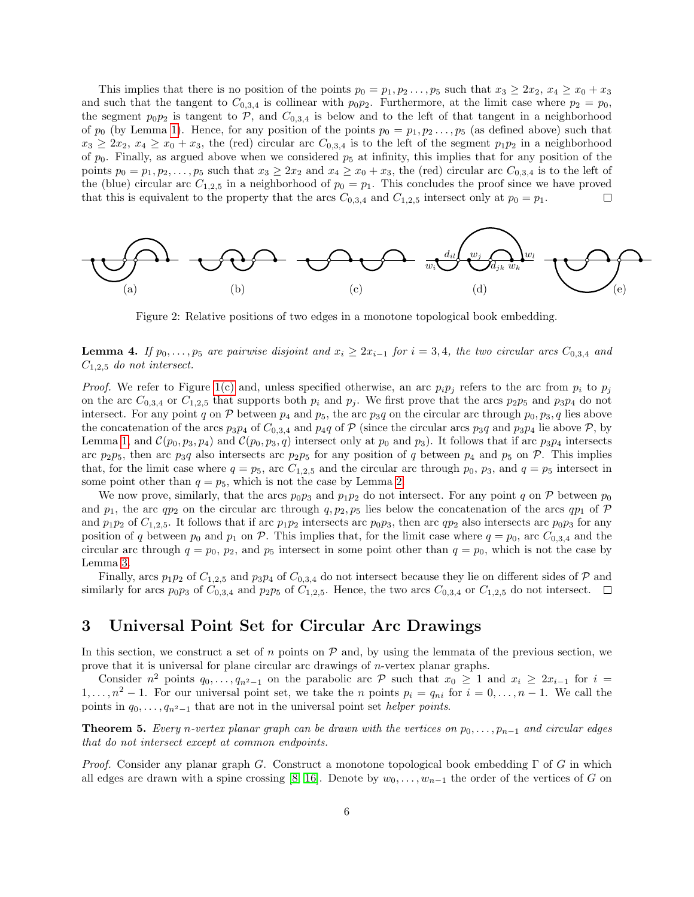This implies that there is no position of the points  $p_0 = p_1, p_2, \ldots, p_5$  such that  $x_3 \geq 2x_2, x_4 \geq x_0 + x_3$ and such that the tangent to  $C_{0,3,4}$  is collinear with  $p_0p_2$ . Furthermore, at the limit case where  $p_2 = p_0$ , the segment  $p_0p_2$  is tangent to P, and  $C_{0,3,4}$  is below and to the left of that tangent in a neighborhood of  $p_0$  (by Lemma 1). Hence, for any position of the points  $p_0 = p_1, p_2 \ldots, p_5$  (as defined above) such that  $x_3 \geq 2x_2, x_4 \geq x_0 + x_3$ , the (red) circular arc  $C_{0,3,4}$  is to the left of the segment  $p_1p_2$  in a neighborhood of  $p_0$ . Finally, as argued above when we considered  $p_5$  at infinity, this implies that for any position of the points  $p_0 = p_1, p_2, \ldots, p_5$  such that  $x_3 \geq 2x_2$  and  $x_4 \geq x_0 + x_3$ , the (red) circular arc  $C_{0,3,4}$  is to the left of the (blue) circular arc  $C_{1,2,5}$  in a neighborhood of  $p_0 = p_1$ . This concludes the proof since we have proved that this is equivalent to the property that the arcs  $C_{0,3,4}$  and  $C_{1,2,5}$  intersect only at  $p_0 = p_1$ .  $\Box$ 



Figure 2: Relative positions of two edges in a monotone topological book embedding.

**Lemma 4.** If  $p_0, \ldots, p_5$  are pairwise disjoint and  $x_i \geq 2x_{i-1}$  for  $i = 3, 4$ , the two circular arcs  $C_{0,3,4}$  and  $C_{1,2,5}$  do not intersect.

*Proof.* We refer to Figure 1(c) and, unless specified otherwise, an arc  $p_i p_j$  refers to the arc from  $p_i$  to  $p_j$ on the arc  $C_{0,3,4}$  or  $C_{1,2,5}$  that supports both  $p_i$  and  $p_j$ . We first prove that the arcs  $p_2p_5$  and  $p_3p_4$  do not intersect. For any point q on  $P$  between  $p_4$  and  $p_5$ , the arc  $p_3q$  on the circular arc through  $p_0, p_3, q$  lies above the concatenation of the arcs  $p_3p_4$  of  $C_{0,3,4}$  and  $p_4q$  of  $P$  (since the circular arcs  $p_3q$  and  $p_3p_4$  lie above  $P$ , by Lemma 1, and  $\mathcal{C}(p_0, p_3, p_4)$  and  $\mathcal{C}(p_0, p_3, q)$  intersect only at  $p_0$  and  $p_3$ ). It follows that if arc  $p_3p_4$  intersects arc  $p_2p_5$ , then arc  $p_3q$  also intersects arc  $p_2p_5$  for any position of q between  $p_4$  and  $p_5$  on  $P$ . This implies that, for the limit case where  $q = p_5$ , arc  $C_{1,2,5}$  and the circular arc through  $p_0$ ,  $p_3$ , and  $q = p_5$  intersect in some point other than  $q = p_5$ , which is not the case by Lemma 2.

We now prove, similarly, that the arcs  $p_0p_3$  and  $p_1p_2$  do not intersect. For any point q on P between  $p_0$ and  $p_1$ , the arc  $qp_2$  on the circular arc through  $q, p_2, p_5$  lies below the concatenation of the arcs  $qp_1$  of P and  $p_1p_2$  of  $C_{1,2,5}$ . It follows that if arc  $p_1p_2$  intersects arc  $p_0p_3$ , then arc  $qp_2$  also intersects arc  $p_0p_3$  for any position of q between  $p_0$  and  $p_1$  on P. This implies that, for the limit case where  $q = p_0$ , arc  $C_{0,3,4}$  and the circular arc through  $q = p_0$ ,  $p_2$ , and  $p_5$  intersect in some point other than  $q = p_0$ , which is not the case by Lemma 3.

Finally, arcs  $p_1p_2$  of  $C_{1,2,5}$  and  $p_3p_4$  of  $C_{0,3,4}$  do not intersect because they lie on different sides of P and similarly for arcs  $p_0p_3$  of  $C_{0,3,4}$  and  $p_2p_5$  of  $C_{1,2,5}$ . Hence, the two arcs  $C_{0,3,4}$  or  $C_{1,2,5}$  do not intersect.  $\Box$ 

#### 3 Universal Point Set for Circular Arc Drawings

In this section, we construct a set of n points on  $P$  and, by using the lemmata of the previous section, we prove that it is universal for plane circular arc drawings of n-vertex planar graphs.

Consider  $n^2$  points  $q_0, \ldots, q_{n^2-1}$  on the parabolic arc  $\mathcal P$  such that  $x_0 \geq 1$  and  $x_i \geq 2x_{i-1}$  for  $i =$  $1, \ldots, n^2 - 1$ . For our universal point set, we take the *n* points  $p_i = q_{ni}$  for  $i = 0, \ldots, n - 1$ . We call the points in  $q_0, \ldots, q_{n^2-1}$  that are not in the universal point set *helper points*.

**Theorem 5.** Every n-vertex planar graph can be drawn with the vertices on  $p_0, \ldots, p_{n-1}$  and circular edges that do not intersect except at common endpoints.

*Proof.* Consider any planar graph G. Construct a monotone topological book embedding  $\Gamma$  of G in which all edges are drawn with a spine crossing [8, 16]. Denote by  $w_0, \ldots, w_{n-1}$  the order of the vertices of G on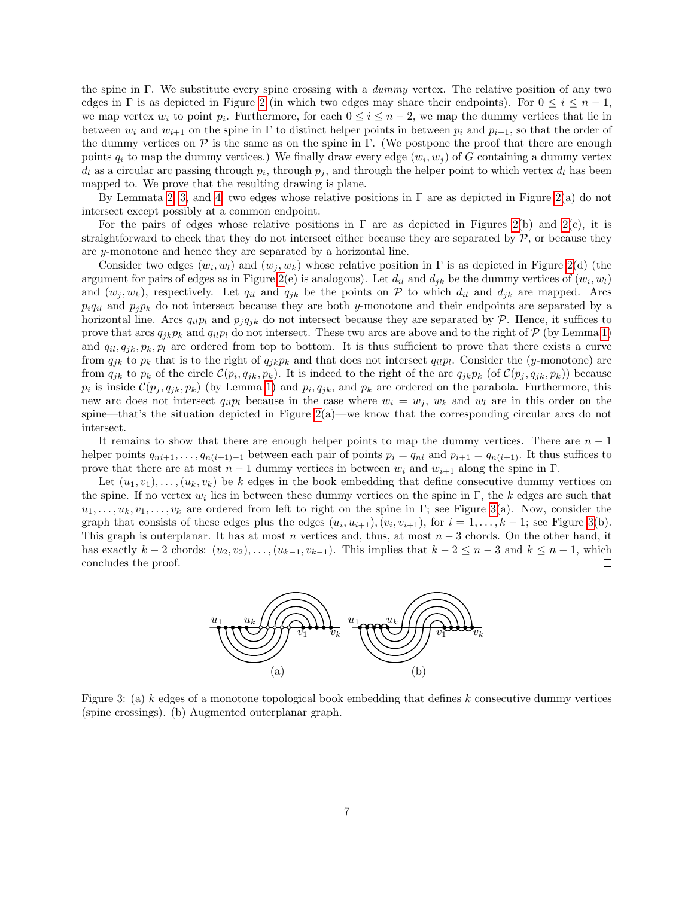the spine in Γ. We substitute every spine crossing with a dummy vertex. The relative position of any two edges in Γ is as depicted in Figure 2 (in which two edges may share their endpoints). For  $0 \le i \le n-1$ , we map vertex  $w_i$  to point  $p_i$ . Furthermore, for each  $0 \leq i \leq n-2$ , we map the dummy vertices that lie in between  $w_i$  and  $w_{i+1}$  on the spine in Γ to distinct helper points in between  $p_i$  and  $p_{i+1}$ , so that the order of the dummy vertices on  $\mathcal P$  is the same as on the spine in Γ. (We postpone the proof that there are enough points  $q_i$  to map the dummy vertices.) We finally draw every edge  $(w_i, w_j)$  of G containing a dummy vertex  $d_l$  as a circular arc passing through  $p_i$ , through  $p_j$ , and through the helper point to which vertex  $d_l$  has been mapped to. We prove that the resulting drawing is plane.

By Lemmata 2, 3, and 4, two edges whose relative positions in  $\Gamma$  are as depicted in Figure 2(a) do not intersect except possibly at a common endpoint.

For the pairs of edges whose relative positions in  $\Gamma$  are as depicted in Figures 2(b) and 2(c), it is straightforward to check that they do not intersect either because they are separated by  $P$ , or because they are y-monotone and hence they are separated by a horizontal line.

Consider two edges  $(w_i, w_l)$  and  $(w_j, w_k)$  whose relative position in  $\Gamma$  is as depicted in Figure 2(d) (the argument for pairs of edges as in Figure 2(e) is analogous). Let  $d_{il}$  and  $d_{jk}$  be the dummy vertices of  $(w_i, w_l)$ and  $(w_j, w_k)$ , respectively. Let  $q_{il}$  and  $q_{jk}$  be the points on P to which  $d_{il}$  and  $d_{jk}$  are mapped. Arcs  $p_iq_{il}$  and  $p_jp_k$  do not intersect because they are both y-monotone and their endpoints are separated by a horizontal line. Arcs  $q_{il}p_l$  and  $p_{j}q_{jk}$  do not intersect because they are separated by P. Hence, it suffices to prove that arcs  $q_{ik}p_k$  and  $q_{il}p_l$  do not intersect. These two arcs are above and to the right of P (by Lemma 1) and  $q_{il}, q_{jk}, p_k, p_l$  are ordered from top to bottom. It is thus sufficient to prove that there exists a curve from  $q_{jk}$  to  $p_k$  that is to the right of  $q_{jk}p_k$  and that does not intersect  $q_{il}p_l$ . Consider the (y-monotone) arc from  $q_{jk}$  to  $p_k$  of the circle  $\mathcal{C}(p_i, q_{jk}, p_k)$ . It is indeed to the right of the arc  $q_{jk}p_k$  (of  $\mathcal{C}(p_j, q_{jk}, p_k)$ ) because  $p_i$  is inside  $\mathcal{C}(p_j, q_{jk}, p_k)$  (by Lemma 1) and  $p_i, q_{jk}$ , and  $p_k$  are ordered on the parabola. Furthermore, this new arc does not intersect  $q_{il}p_l$  because in the case where  $w_i = w_j$ ,  $w_k$  and  $w_l$  are in this order on the spine—that's the situation depicted in Figure  $2(a)$ —we know that the corresponding circular arcs do not intersect.

It remains to show that there are enough helper points to map the dummy vertices. There are  $n-1$ helper points  $q_{ni+1}, \ldots, q_{n(i+1)-1}$  between each pair of points  $p_i = q_{ni}$  and  $p_{i+1} = q_{n(i+1)}$ . It thus suffices to prove that there are at most  $n-1$  dummy vertices in between  $w_i$  and  $w_{i+1}$  along the spine in Γ.

Let  $(u_1, v_1), \ldots, (u_k, v_k)$  be k edges in the book embedding that define consecutive dummy vertices on the spine. If no vertex  $w_i$  lies in between these dummy vertices on the spine in  $\Gamma$ , the k edges are such that  $u_1, \ldots, u_k, v_1, \ldots, v_k$  are ordered from left to right on the spine in Γ; see Figure 3(a). Now, consider the graph that consists of these edges plus the edges  $(u_i, u_{i+1}), (v_i, v_{i+1}),$  for  $i = 1, ..., k-1$ ; see Figure 3(b). This graph is outerplanar. It has at most n vertices and, thus, at most  $n-3$  chords. On the other hand, it has exactly  $k-2$  chords:  $(u_2, v_2), \ldots, (u_{k-1}, v_{k-1})$ . This implies that  $k-2 \leq n-3$  and  $k \leq n-1$ , which concludes the proof. □



Figure 3: (a) k edges of a monotone topological book embedding that defines k consecutive dummy vertices (spine crossings). (b) Augmented outerplanar graph.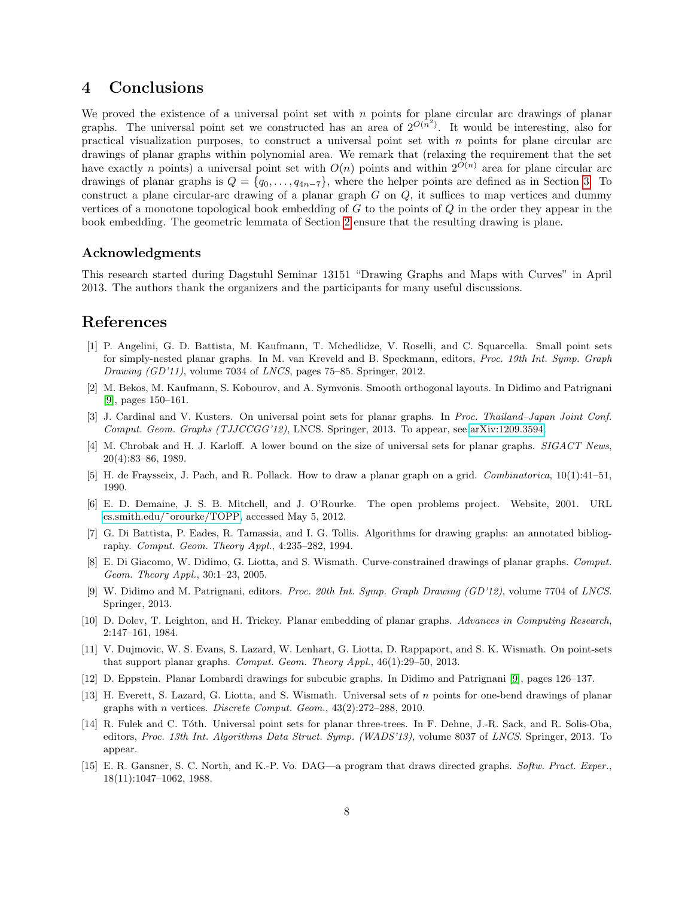#### 4 Conclusions

We proved the existence of a universal point set with  $n$  points for plane circular arc drawings of planar graphs. The universal point set we constructed has an area of  $2^{O(n^2)}$ . It would be interesting, also for practical visualization purposes, to construct a universal point set with  $n$  points for plane circular arc drawings of planar graphs within polynomial area. We remark that (relaxing the requirement that the set have exactly n points) a universal point set with  $O(n)$  points and within  $2^{O(n)}$  area for plane circular arc drawings of planar graphs is  $Q = \{q_0, \ldots, q_{4n-7}\}\$ , where the helper points are defined as in Section 3. To construct a plane circular-arc drawing of a planar graph  $G$  on  $Q$ , it suffices to map vertices and dummy vertices of a monotone topological book embedding of  $G$  to the points of  $Q$  in the order they appear in the book embedding. The geometric lemmata of Section 2 ensure that the resulting drawing is plane.

#### Acknowledgments

This research started during Dagstuhl Seminar 13151 "Drawing Graphs and Maps with Curves" in April 2013. The authors thank the organizers and the participants for many useful discussions.

#### References

- [1] P. Angelini, G. D. Battista, M. Kaufmann, T. Mchedlidze, V. Roselli, and C. Squarcella. Small point sets for simply-nested planar graphs. In M. van Kreveld and B. Speckmann, editors, Proc. 19th Int. Symp. Graph Drawing (GD'11), volume 7034 of LNCS, pages 75–85. Springer, 2012.
- [2] M. Bekos, M. Kaufmann, S. Kobourov, and A. Symvonis. Smooth orthogonal layouts. In Didimo and Patrignani [9], pages 150–161.
- [3] J. Cardinal and V. Kusters. On universal point sets for planar graphs. In Proc. Thailand–Japan Joint Conf. Comput. Geom. Graphs (TJJCCGG'12), LNCS. Springer, 2013. To appear, see [arXiv:1209.3594.](http://arxiv.org/abs/1209.3594)
- [4] M. Chrobak and H. J. Karloff. A lower bound on the size of universal sets for planar graphs. SIGACT News, 20(4):83–86, 1989.
- [5] H. de Fraysseix, J. Pach, and R. Pollack. How to draw a planar graph on a grid. Combinatorica, 10(1):41–51, 1990.
- [6] E. D. Demaine, J. S. B. Mitchell, and J. O'Rourke. The open problems project. Website, 2001. URL [cs.smith.edu/˜orourke/TOPP,](http://cs.smith.edu/~orourke/TOPP) accessed May 5, 2012.
- [7] G. Di Battista, P. Eades, R. Tamassia, and I. G. Tollis. Algorithms for drawing graphs: an annotated bibliography. Comput. Geom. Theory Appl., 4:235–282, 1994.
- [8] E. Di Giacomo, W. Didimo, G. Liotta, and S. Wismath. Curve-constrained drawings of planar graphs. Comput. Geom. Theory Appl., 30:1–23, 2005.
- [9] W. Didimo and M. Patrignani, editors. Proc. 20th Int. Symp. Graph Drawing (GD'12), volume 7704 of LNCS. Springer, 2013.
- [10] D. Dolev, T. Leighton, and H. Trickey. Planar embedding of planar graphs. Advances in Computing Research, 2:147–161, 1984.
- [11] V. Dujmovic, W. S. Evans, S. Lazard, W. Lenhart, G. Liotta, D. Rappaport, and S. K. Wismath. On point-sets that support planar graphs. Comput. Geom. Theory Appl., 46(1):29–50, 2013.
- [12] D. Eppstein. Planar Lombardi drawings for subcubic graphs. In Didimo and Patrignani [9], pages 126–137.
- [13] H. Everett, S. Lazard, G. Liotta, and S. Wismath. Universal sets of n points for one-bend drawings of planar graphs with *n* vertices. *Discrete Comput. Geom.*,  $43(2):272-288$ , 2010.
- [14] R. Fulek and C. Tóth. Universal point sets for planar three-trees. In F. Dehne, J.-R. Sack, and R. Solis-Oba, editors, Proc. 13th Int. Algorithms Data Struct. Symp. (WADS'13), volume 8037 of LNCS. Springer, 2013. To appear.
- [15] E. R. Gansner, S. C. North, and K.-P. Vo. DAG—a program that draws directed graphs. Softw. Pract. Exper., 18(11):1047–1062, 1988.